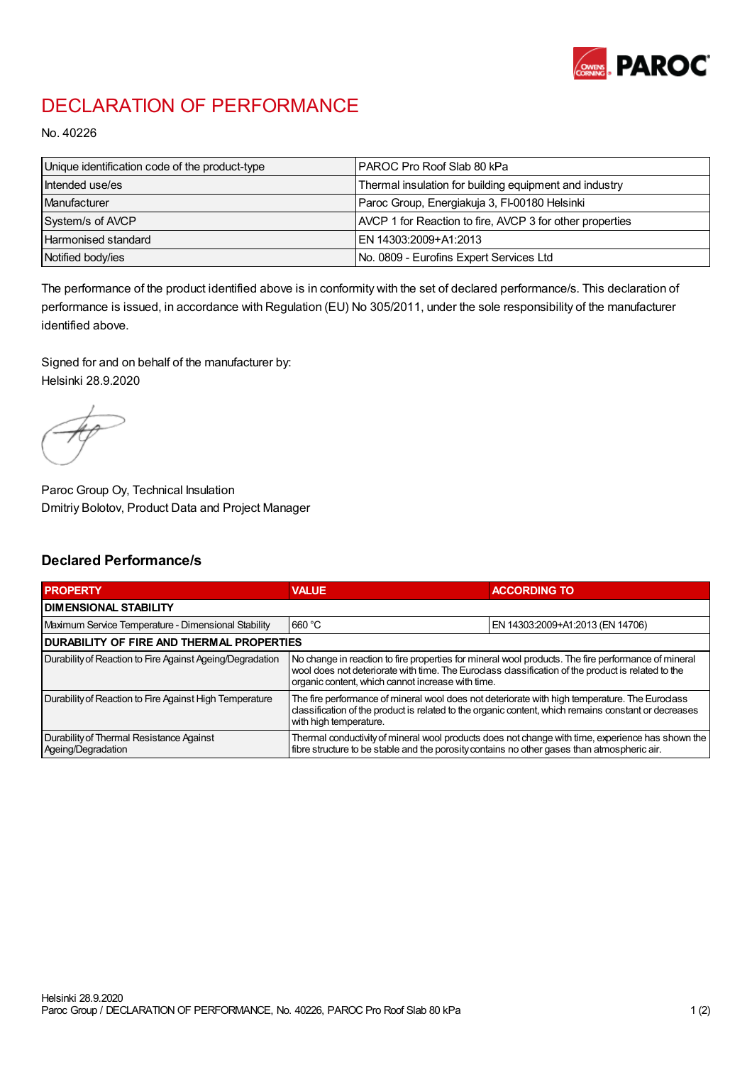

## DECLARATION OF PERFORMANCE

No. 40226

| Unique identification code of the product-type | IPAROC Pro Roof Slab 80 kPa                              |
|------------------------------------------------|----------------------------------------------------------|
| Intended use/es                                | Thermal insulation for building equipment and industry   |
| Manufacturer                                   | Paroc Group, Energiakuja 3, FI-00180 Helsinki            |
| System/s of AVCP                               | AVCP 1 for Reaction to fire, AVCP 3 for other properties |
| Harmonised standard                            | IEN 14303:2009+A1:2013                                   |
| Notified body/ies                              | No. 0809 - Eurofins Expert Services Ltd                  |

The performance of the product identified above is in conformity with the set of declared performance/s. This declaration of performance is issued, in accordance with Regulation (EU) No 305/2011, under the sole responsibility of the manufacturer identified above.

Signed for and on behalf of the manufacturer by: Helsinki 28.9.2020

Paroc Group Oy, Technical Insulation Dmitriy Bolotov, Product Data and Project Manager

## Declared Performance/s

| <b>PROPERTY</b>                                                | <b>VALUE</b>                                                                                                                                                                                                                                                   | <b>ACCORDING TO.</b>             |  |
|----------------------------------------------------------------|----------------------------------------------------------------------------------------------------------------------------------------------------------------------------------------------------------------------------------------------------------------|----------------------------------|--|
| <b>DIMENSIONAL STABILITY</b>                                   |                                                                                                                                                                                                                                                                |                                  |  |
| Maximum Service Temperature - Dimensional Stability            | 660 °C                                                                                                                                                                                                                                                         | EN 14303:2009+A1:2013 (EN 14706) |  |
| <b>DURABILITY OF FIRE AND THERMAL PROPERTIES</b>               |                                                                                                                                                                                                                                                                |                                  |  |
| Durability of Reaction to Fire Against Ageing/Degradation      | No change in reaction to fire properties for mineral wool products. The fire performance of mineral<br>wool does not deteriorate with time. The Euroclass classification of the product is related to the<br>organic content, which cannot increase with time. |                                  |  |
| Durability of Reaction to Fire Against High Temperature        | The fire performance of mineral wool does not deteriorate with high temperature. The Euroclass<br>classification of the product is related to the organic content, which remains constant or decreases<br>with high temperature.                               |                                  |  |
| Durability of Thermal Resistance Against<br>Ageing/Degradation | Thermal conductivity of mineral wool products does not change with time, experience has shown the<br>fibre structure to be stable and the porosity contains no other gases than atmospheric air.                                                               |                                  |  |